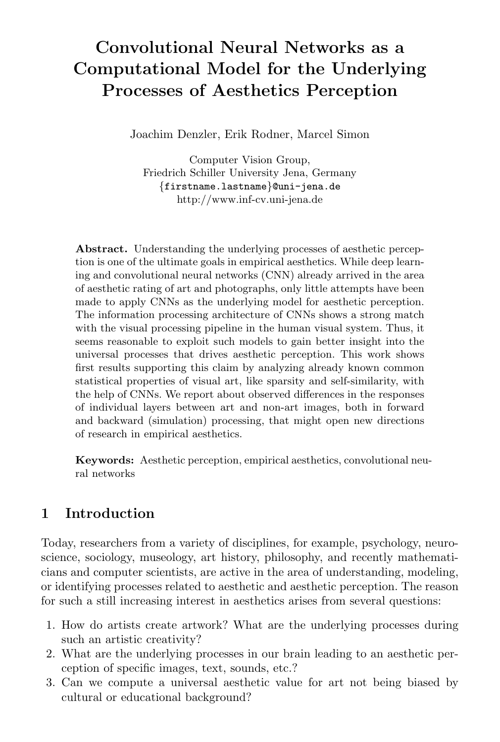# Convolutional Neural Networks as a Computational Model for the Underlying Processes of Aesthetics Perception

Joachim Denzler, Erik Rodner, Marcel Simon

Computer Vision Group, Friedrich Schiller University Jena, Germany {firstname.lastname}@uni-jena.de http://www.inf-cv.uni-jena.de

Abstract. Understanding the underlying processes of aesthetic perception is one of the ultimate goals in empirical aesthetics. While deep learning and convolutional neural networks (CNN) already arrived in the area of aesthetic rating of art and photographs, only little attempts have been made to apply CNNs as the underlying model for aesthetic perception. The information processing architecture of CNNs shows a strong match with the visual processing pipeline in the human visual system. Thus, it seems reasonable to exploit such models to gain better insight into the universal processes that drives aesthetic perception. This work shows first results supporting this claim by analyzing already known common statistical properties of visual art, like sparsity and self-similarity, with the help of CNNs. We report about observed differences in the responses of individual layers between art and non-art images, both in forward and backward (simulation) processing, that might open new directions of research in empirical aesthetics.

Keywords: Aesthetic perception, empirical aesthetics, convolutional neural networks

### 1 Introduction

Today, researchers from a variety of disciplines, for example, psychology, neuroscience, sociology, museology, art history, philosophy, and recently mathematicians and computer scientists, are active in the area of understanding, modeling, or identifying processes related to aesthetic and aesthetic perception. The reason for such a still increasing interest in aesthetics arises from several questions:

- 1. How do artists create artwork? What are the underlying processes during such an artistic creativity?
- 2. What are the underlying processes in our brain leading to an aesthetic perception of specific images, text, sounds, etc.?
- 3. Can we compute a universal aesthetic value for art not being biased by cultural or educational background?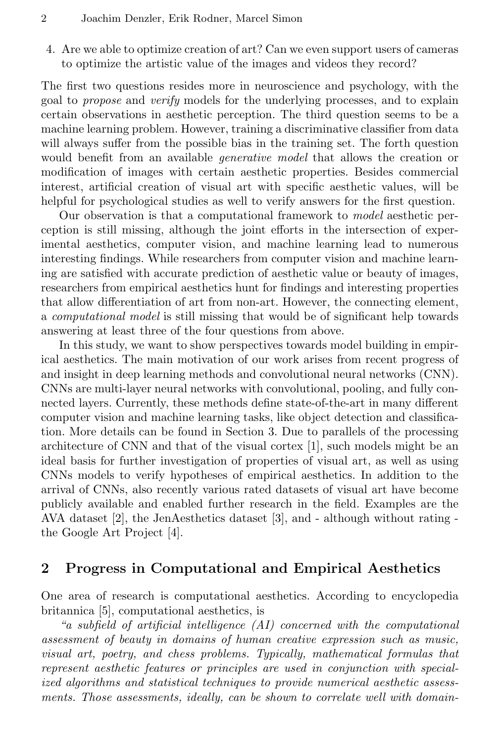4. Are we able to optimize creation of art? Can we even support users of cameras to optimize the artistic value of the images and videos they record?

The first two questions resides more in neuroscience and psychology, with the goal to propose and verify models for the underlying processes, and to explain certain observations in aesthetic perception. The third question seems to be a machine learning problem. However, training a discriminative classifier from data will always suffer from the possible bias in the training set. The forth question would benefit from an available *generative model* that allows the creation or modification of images with certain aesthetic properties. Besides commercial interest, artificial creation of visual art with specific aesthetic values, will be helpful for psychological studies as well to verify answers for the first question.

Our observation is that a computational framework to model aesthetic perception is still missing, although the joint efforts in the intersection of experimental aesthetics, computer vision, and machine learning lead to numerous interesting findings. While researchers from computer vision and machine learning are satisfied with accurate prediction of aesthetic value or beauty of images, researchers from empirical aesthetics hunt for findings and interesting properties that allow differentiation of art from non-art. However, the connecting element, a computational model is still missing that would be of significant help towards answering at least three of the four questions from above.

In this study, we want to show perspectives towards model building in empirical aesthetics. The main motivation of our work arises from recent progress of and insight in deep learning methods and convolutional neural networks (CNN). CNNs are multi-layer neural networks with convolutional, pooling, and fully connected layers. Currently, these methods define state-of-the-art in many different computer vision and machine learning tasks, like object detection and classification. More details can be found in Section 3. Due to parallels of the processing architecture of CNN and that of the visual cortex [1], such models might be an ideal basis for further investigation of properties of visual art, as well as using CNNs models to verify hypotheses of empirical aesthetics. In addition to the arrival of CNNs, also recently various rated datasets of visual art have become publicly available and enabled further research in the field. Examples are the AVA dataset [2], the JenAesthetics dataset [3], and - although without rating the Google Art Project [4].

### 2 Progress in Computational and Empirical Aesthetics

One area of research is computational aesthetics. According to encyclopedia britannica [5], computational aesthetics, is

"a subfield of artificial intelligence (AI) concerned with the computational assessment of beauty in domains of human creative expression such as music, visual art, poetry, and chess problems. Typically, mathematical formulas that represent aesthetic features or principles are used in conjunction with specialized algorithms and statistical techniques to provide numerical aesthetic assessments. Those assessments, ideally, can be shown to correlate well with domain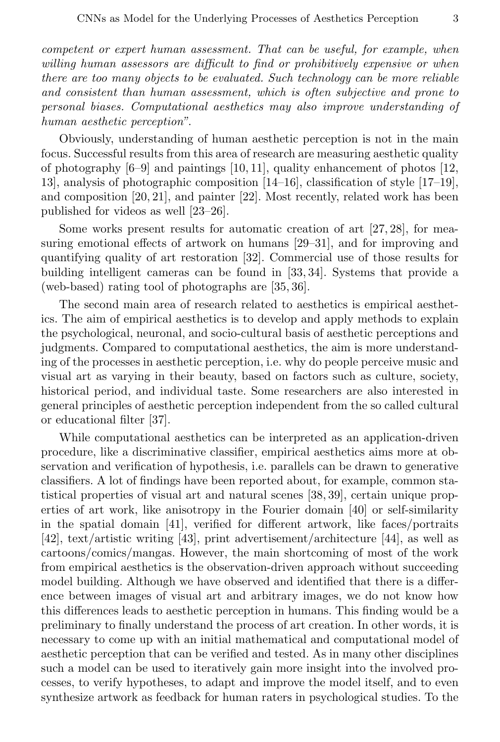competent or expert human assessment. That can be useful, for example, when willing human assessors are difficult to find or prohibitively expensive or when there are too many objects to be evaluated. Such technology can be more reliable and consistent than human assessment, which is often subjective and prone to personal biases. Computational aesthetics may also improve understanding of human aesthetic perception".

Obviously, understanding of human aesthetic perception is not in the main focus. Successful results from this area of research are measuring aesthetic quality of photography [6–9] and paintings [10, 11], quality enhancement of photos [12, 13], analysis of photographic composition [14–16], classification of style [17–19], and composition [20, 21], and painter [22]. Most recently, related work has been published for videos as well [23–26].

Some works present results for automatic creation of art [27, 28], for measuring emotional effects of artwork on humans [29–31], and for improving and quantifying quality of art restoration [32]. Commercial use of those results for building intelligent cameras can be found in [33, 34]. Systems that provide a (web-based) rating tool of photographs are [35, 36].

The second main area of research related to aesthetics is empirical aesthetics. The aim of empirical aesthetics is to develop and apply methods to explain the psychological, neuronal, and socio-cultural basis of aesthetic perceptions and judgments. Compared to computational aesthetics, the aim is more understanding of the processes in aesthetic perception, i.e. why do people perceive music and visual art as varying in their beauty, based on factors such as culture, society, historical period, and individual taste. Some researchers are also interested in general principles of aesthetic perception independent from the so called cultural or educational filter [37].

While computational aesthetics can be interpreted as an application-driven procedure, like a discriminative classifier, empirical aesthetics aims more at observation and verification of hypothesis, i.e. parallels can be drawn to generative classifiers. A lot of findings have been reported about, for example, common statistical properties of visual art and natural scenes [38, 39], certain unique properties of art work, like anisotropy in the Fourier domain [40] or self-similarity in the spatial domain [41], verified for different artwork, like faces/portraits [42], text/artistic writing [43], print advertisement/architecture [44], as well as cartoons/comics/mangas. However, the main shortcoming of most of the work from empirical aesthetics is the observation-driven approach without succeeding model building. Although we have observed and identified that there is a difference between images of visual art and arbitrary images, we do not know how this differences leads to aesthetic perception in humans. This finding would be a preliminary to finally understand the process of art creation. In other words, it is necessary to come up with an initial mathematical and computational model of aesthetic perception that can be verified and tested. As in many other disciplines such a model can be used to iteratively gain more insight into the involved processes, to verify hypotheses, to adapt and improve the model itself, and to even synthesize artwork as feedback for human raters in psychological studies. To the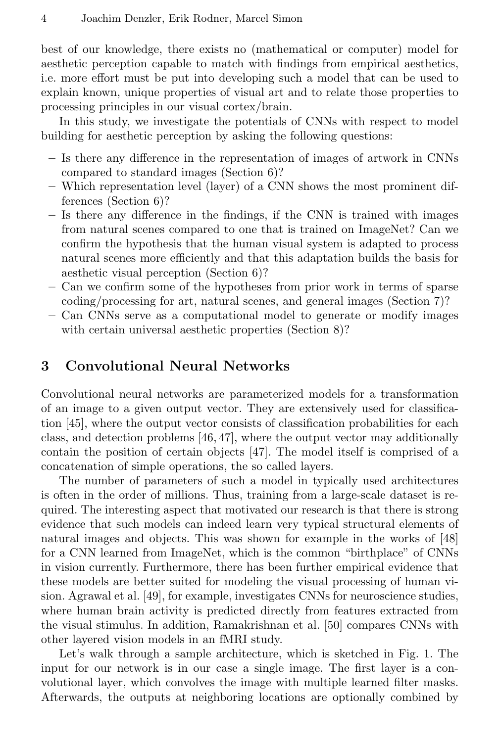best of our knowledge, there exists no (mathematical or computer) model for aesthetic perception capable to match with findings from empirical aesthetics, i.e. more effort must be put into developing such a model that can be used to explain known, unique properties of visual art and to relate those properties to processing principles in our visual cortex/brain.

In this study, we investigate the potentials of CNNs with respect to model building for aesthetic perception by asking the following questions:

- Is there any difference in the representation of images of artwork in CNNs compared to standard images (Section 6)?
- Which representation level (layer) of a CNN shows the most prominent differences (Section 6)?
- Is there any difference in the findings, if the CNN is trained with images from natural scenes compared to one that is trained on ImageNet? Can we confirm the hypothesis that the human visual system is adapted to process natural scenes more efficiently and that this adaptation builds the basis for aesthetic visual perception (Section 6)?
- Can we confirm some of the hypotheses from prior work in terms of sparse coding/processing for art, natural scenes, and general images (Section 7)?
- Can CNNs serve as a computational model to generate or modify images with certain universal aesthetic properties (Section 8)?

### 3 Convolutional Neural Networks

Convolutional neural networks are parameterized models for a transformation of an image to a given output vector. They are extensively used for classification [45], where the output vector consists of classification probabilities for each class, and detection problems [46, 47], where the output vector may additionally contain the position of certain objects [47]. The model itself is comprised of a concatenation of simple operations, the so called layers.

The number of parameters of such a model in typically used architectures is often in the order of millions. Thus, training from a large-scale dataset is required. The interesting aspect that motivated our research is that there is strong evidence that such models can indeed learn very typical structural elements of natural images and objects. This was shown for example in the works of [48] for a CNN learned from ImageNet, which is the common "birthplace" of CNNs in vision currently. Furthermore, there has been further empirical evidence that these models are better suited for modeling the visual processing of human vision. Agrawal et al. [49], for example, investigates CNNs for neuroscience studies, where human brain activity is predicted directly from features extracted from the visual stimulus. In addition, Ramakrishnan et al. [50] compares CNNs with other layered vision models in an fMRI study.

Let's walk through a sample architecture, which is sketched in Fig. 1. The input for our network is in our case a single image. The first layer is a convolutional layer, which convolves the image with multiple learned filter masks. Afterwards, the outputs at neighboring locations are optionally combined by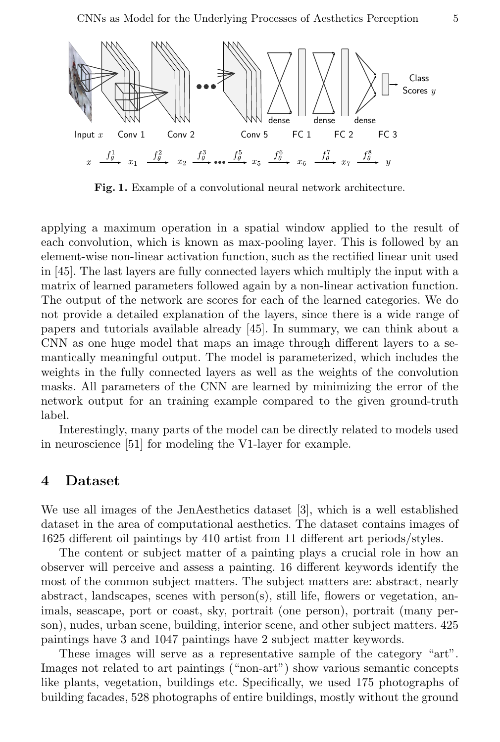

Fig. 1. Example of a convolutional neural network architecture.

applying a maximum operation in a spatial window applied to the result of each convolution, which is known as max-pooling layer. This is followed by an element-wise non-linear activation function, such as the rectified linear unit used in [45]. The last layers are fully connected layers which multiply the input with a matrix of learned parameters followed again by a non-linear activation function. The output of the network are scores for each of the learned categories. We do not provide a detailed explanation of the layers, since there is a wide range of papers and tutorials available already [45]. In summary, we can think about a CNN as one huge model that maps an image through different layers to a semantically meaningful output. The model is parameterized, which includes the weights in the fully connected layers as well as the weights of the convolution masks. All parameters of the CNN are learned by minimizing the error of the network output for an training example compared to the given ground-truth label.

Interestingly, many parts of the model can be directly related to models used in neuroscience [51] for modeling the V1-layer for example.

#### 4 Dataset

We use all images of the JenAesthetics dataset [3], which is a well established dataset in the area of computational aesthetics. The dataset contains images of 1625 different oil paintings by 410 artist from 11 different art periods/styles.

The content or subject matter of a painting plays a crucial role in how an observer will perceive and assess a painting. 16 different keywords identify the most of the common subject matters. The subject matters are: abstract, nearly abstract, landscapes, scenes with person(s), still life, flowers or vegetation, animals, seascape, port or coast, sky, portrait (one person), portrait (many person), nudes, urban scene, building, interior scene, and other subject matters. 425 paintings have 3 and 1047 paintings have 2 subject matter keywords.

These images will serve as a representative sample of the category "art". Images not related to art paintings ("non-art") show various semantic concepts like plants, vegetation, buildings etc. Specifically, we used 175 photographs of building facades, 528 photographs of entire buildings, mostly without the ground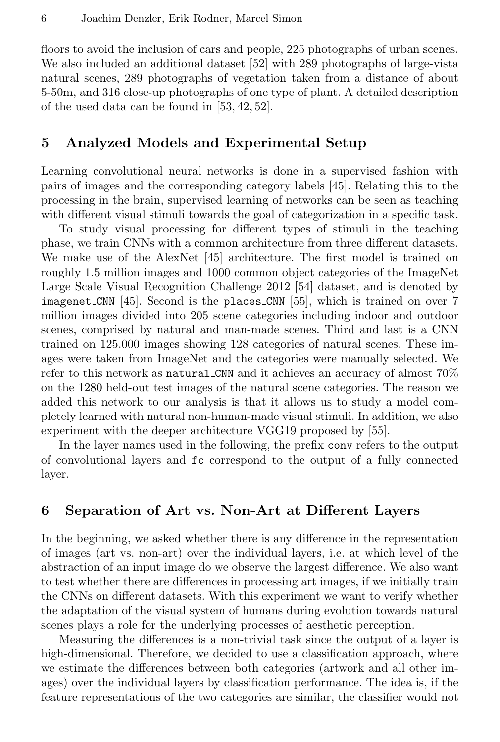floors to avoid the inclusion of cars and people, 225 photographs of urban scenes. We also included an additional dataset [52] with 289 photographs of large-vista natural scenes, 289 photographs of vegetation taken from a distance of about 5-50m, and 316 close-up photographs of one type of plant. A detailed description of the used data can be found in [53, 42, 52].

#### 5 Analyzed Models and Experimental Setup

Learning convolutional neural networks is done in a supervised fashion with pairs of images and the corresponding category labels [45]. Relating this to the processing in the brain, supervised learning of networks can be seen as teaching with different visual stimuli towards the goal of categorization in a specific task.

To study visual processing for different types of stimuli in the teaching phase, we train CNNs with a common architecture from three different datasets. We make use of the AlexNet [45] architecture. The first model is trained on roughly 1.5 million images and 1000 common object categories of the ImageNet Large Scale Visual Recognition Challenge 2012 [54] dataset, and is denoted by imagenet CNN [45]. Second is the places CNN [55], which is trained on over 7 million images divided into 205 scene categories including indoor and outdoor scenes, comprised by natural and man-made scenes. Third and last is a CNN trained on 125.000 images showing 128 categories of natural scenes. These images were taken from ImageNet and the categories were manually selected. We refer to this network as natural CNN and it achieves an accuracy of almost 70% on the 1280 held-out test images of the natural scene categories. The reason we added this network to our analysis is that it allows us to study a model completely learned with natural non-human-made visual stimuli. In addition, we also experiment with the deeper architecture VGG19 proposed by [55].

In the layer names used in the following, the prefix conv refers to the output of convolutional layers and fc correspond to the output of a fully connected layer.

### 6 Separation of Art vs. Non-Art at Different Layers

In the beginning, we asked whether there is any difference in the representation of images (art vs. non-art) over the individual layers, i.e. at which level of the abstraction of an input image do we observe the largest difference. We also want to test whether there are differences in processing art images, if we initially train the CNNs on different datasets. With this experiment we want to verify whether the adaptation of the visual system of humans during evolution towards natural scenes plays a role for the underlying processes of aesthetic perception.

Measuring the differences is a non-trivial task since the output of a layer is high-dimensional. Therefore, we decided to use a classification approach, where we estimate the differences between both categories (artwork and all other images) over the individual layers by classification performance. The idea is, if the feature representations of the two categories are similar, the classifier would not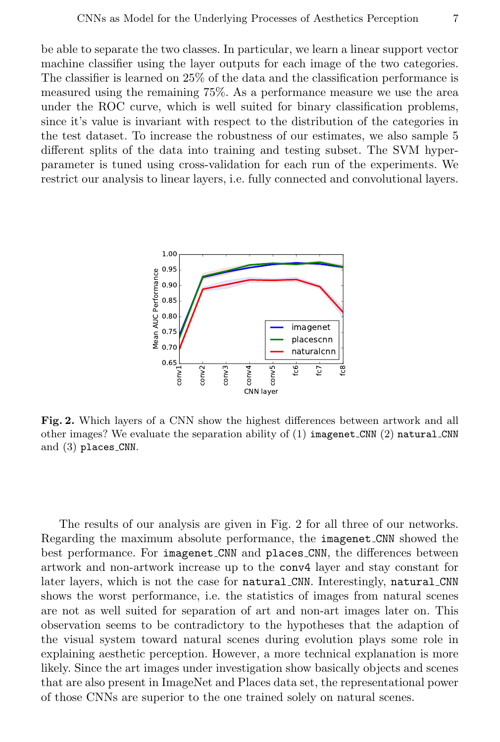be able to separate the two classes. In particular, we learn a linear support vector machine classifier using the layer outputs for each image of the two categories. The classifier is learned on 25% of the data and the classification performance is measured using the remaining 75%. As a performance measure we use the area under the ROC curve, which is well suited for binary classification problems, since it's value is invariant with respect to the distribution of the categories in the test dataset. To increase the robustness of our estimates, we also sample 5 different splits of the data into training and testing subset. The SVM hyperparameter is tuned using cross-validation for each run of the experiments. We restrict our analysis to linear layers, i.e. fully connected and convolutional layers.



Fig. 2. Which layers of a CNN show the highest differences between artwork and all other images? We evaluate the separation ability of  $(1)$  imagenet CNN  $(2)$  natural CNN and (3) places CNN.

The results of our analysis are given in Fig. 2 for all three of our networks. Regarding the maximum absolute performance, the imagenet CNN showed the best performance. For imagenet CNN and places CNN, the differences between artwork and non-artwork increase up to the conv4 layer and stay constant for later layers, which is not the case for natural CNN. Interestingly, natural CNN shows the worst performance, i.e. the statistics of images from natural scenes are not as well suited for separation of art and non-art images later on. This observation seems to be contradictory to the hypotheses that the adaption of the visual system toward natural scenes during evolution plays some role in explaining aesthetic perception. However, a more technical explanation is more likely. Since the art images under investigation show basically objects and scenes that are also present in ImageNet and Places data set, the representational power of those CNNs are superior to the one trained solely on natural scenes.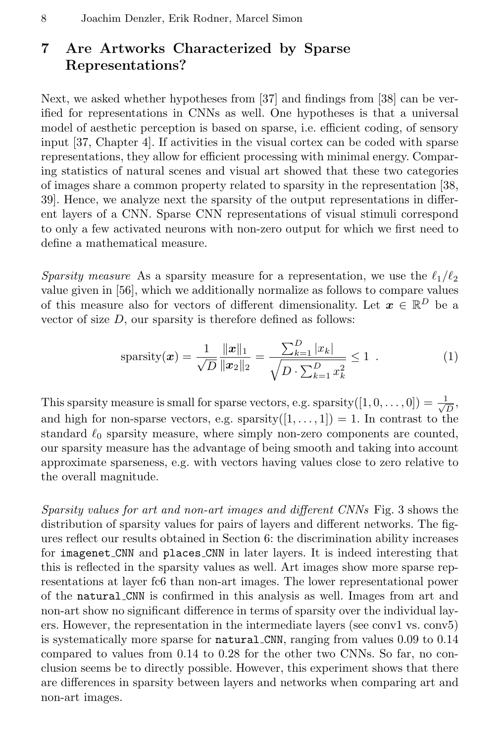## 7 Are Artworks Characterized by Sparse Representations?

Next, we asked whether hypotheses from [37] and findings from [38] can be verified for representations in CNNs as well. One hypotheses is that a universal model of aesthetic perception is based on sparse, i.e. efficient coding, of sensory input [37, Chapter 4]. If activities in the visual cortex can be coded with sparse representations, they allow for efficient processing with minimal energy. Comparing statistics of natural scenes and visual art showed that these two categories of images share a common property related to sparsity in the representation [38, 39]. Hence, we analyze next the sparsity of the output representations in different layers of a CNN. Sparse CNN representations of visual stimuli correspond to only a few activated neurons with non-zero output for which we first need to define a mathematical measure.

Sparsity measure As a sparsity measure for a representation, we use the  $\ell_1/\ell_2$ value given in [56], which we additionally normalize as follows to compare values of this measure also for vectors of different dimensionality. Let  $\boldsymbol{x} \in \mathbb{R}^D$  be a vector of size  $D$ , our sparsity is therefore defined as follows:

sparsity
$$
(\boldsymbol{x}) = \frac{1}{\sqrt{D}} \frac{\|\boldsymbol{x}\|_1}{\|\boldsymbol{x}_2\|_2} = \frac{\sum_{k=1}^D |x_k|}{\sqrt{D \cdot \sum_{k=1}^D x_k^2}} \le 1
$$
 (1)

This sparsity measure is small for sparse vectors, e.g. sparsity $([1,0,\ldots,0])=\frac{1}{\sqrt{2}}$  $\frac{L}{\overline{D}}$ and high for non-sparse vectors, e.g. sparsity( $[1, \ldots, 1]$ ) = 1. In contrast to the standard  $\ell_0$  sparsity measure, where simply non-zero components are counted, our sparsity measure has the advantage of being smooth and taking into account approximate sparseness, e.g. with vectors having values close to zero relative to the overall magnitude.

Sparsity values for art and non-art images and different CNNs Fig. 3 shows the distribution of sparsity values for pairs of layers and different networks. The figures reflect our results obtained in Section 6: the discrimination ability increases for imagenet CNN and places CNN in later layers. It is indeed interesting that this is reflected in the sparsity values as well. Art images show more sparse representations at layer fc6 than non-art images. The lower representational power of the natural CNN is confirmed in this analysis as well. Images from art and non-art show no significant difference in terms of sparsity over the individual layers. However, the representation in the intermediate layers (see conv1 vs. conv5) is systematically more sparse for natural CNN, ranging from values 0.09 to 0.14 compared to values from 0.14 to 0.28 for the other two CNNs. So far, no conclusion seems be to directly possible. However, this experiment shows that there are differences in sparsity between layers and networks when comparing art and non-art images.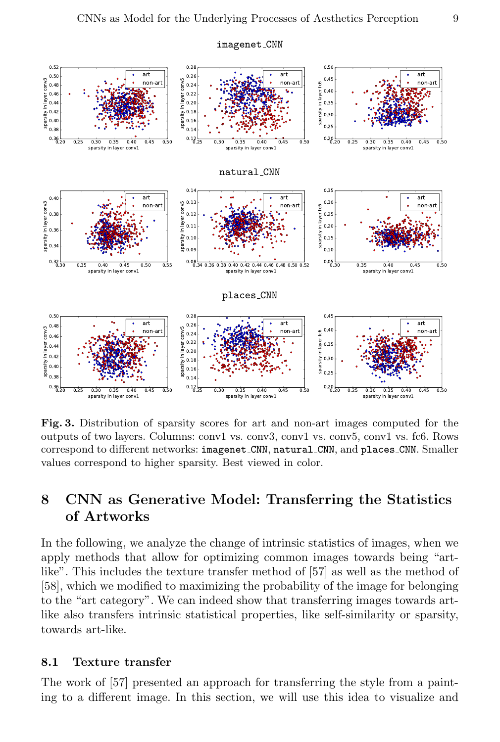

Fig. 3. Distribution of sparsity scores for art and non-art images computed for the outputs of two layers. Columns: conv1 vs. conv3, conv1 vs. conv5, conv1 vs. fc6. Rows correspond to different networks: imagenet CNN, natural CNN, and places CNN. Smaller values correspond to higher sparsity. Best viewed in color.

# 8 CNN as Generative Model: Transferring the Statistics of Artworks

In the following, we analyze the change of intrinsic statistics of images, when we apply methods that allow for optimizing common images towards being "artlike". This includes the texture transfer method of [57] as well as the method of [58], which we modified to maximizing the probability of the image for belonging to the "art category". We can indeed show that transferring images towards artlike also transfers intrinsic statistical properties, like self-similarity or sparsity, towards art-like.

#### 8.1 Texture transfer

The work of [57] presented an approach for transferring the style from a painting to a different image. In this section, we will use this idea to visualize and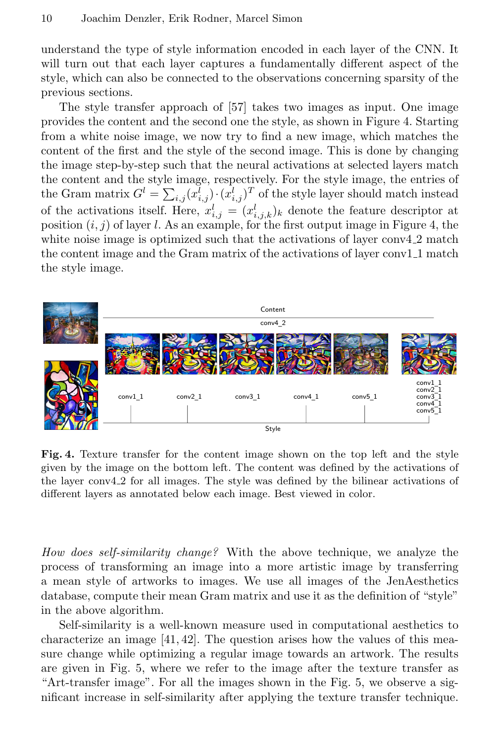understand the type of style information encoded in each layer of the CNN. It will turn out that each layer captures a fundamentally different aspect of the style, which can also be connected to the observations concerning sparsity of the previous sections.

The style transfer approach of [57] takes two images as input. One image provides the content and the second one the style, as shown in Figure 4. Starting from a white noise image, we now try to find a new image, which matches the content of the first and the style of the second image. This is done by changing the image step-by-step such that the neural activations at selected layers match the content and the style image, respectively. For the style image, the entries of the Gram matrix  $G^l = \sum_{i,j} (x_{i,j}^l) \cdot (x_{i,j}^l)^T$  of the style layer should match instead of the activations itself. Here,  $x_{i,j}^l = (x_{i,j,k}^l)_k$  denote the feature descriptor at position  $(i, j)$  of layer l. As an example, for the first output image in Figure 4, the white noise image is optimized such that the activations of layer conv4.2 match the content image and the Gram matrix of the activations of layer conv1 1 match the style image.



Fig. 4. Texture transfer for the content image shown on the top left and the style given by the image on the bottom left. The content was defined by the activations of the layer conv4 2 for all images. The style was defined by the bilinear activations of different layers as annotated below each image. Best viewed in color.

How does self-similarity change? With the above technique, we analyze the process of transforming an image into a more artistic image by transferring a mean style of artworks to images. We use all images of the JenAesthetics database, compute their mean Gram matrix and use it as the definition of "style" in the above algorithm.

Self-similarity is a well-known measure used in computational aesthetics to characterize an image [41, 42]. The question arises how the values of this measure change while optimizing a regular image towards an artwork. The results are given in Fig. 5, where we refer to the image after the texture transfer as "Art-transfer image". For all the images shown in the Fig. 5, we observe a significant increase in self-similarity after applying the texture transfer technique.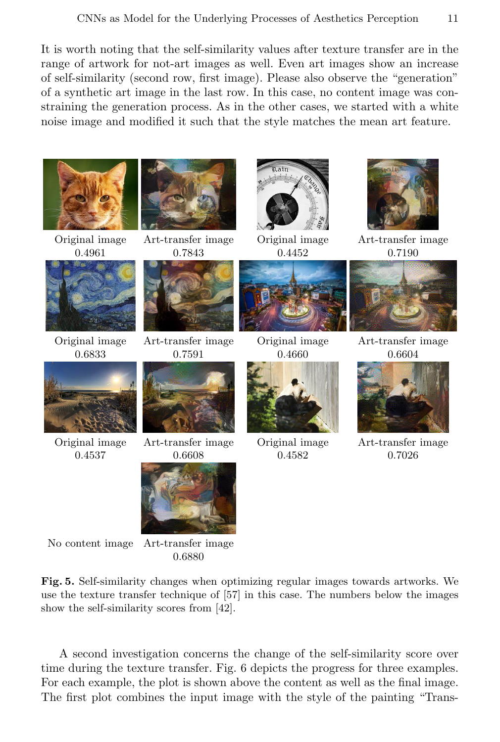It is worth noting that the self-similarity values after texture transfer are in the range of artwork for not-art images as well. Even art images show an increase of self-similarity (second row, first image). Please also observe the "generation" of a synthetic art image in the last row. In this case, no content image was constraining the generation process. As in the other cases, we started with a white noise image and modified it such that the style matches the mean art feature.









0.4961 0.7843 0.4452 0.7190





Original image Art-transfer image Original image Art-transfer image



Original image Art-transfer image Original image Art-transfer image 0.6833 0.7591 0.4660 0.6604











No content image Art-transfer image

0.6880

Fig. 5. Self-similarity changes when optimizing regular images towards artworks. We use the texture transfer technique of [57] in this case. The numbers below the images show the self-similarity scores from [42].

A second investigation concerns the change of the self-similarity score over time during the texture transfer. Fig. 6 depicts the progress for three examples. For each example, the plot is shown above the content as well as the final image. The first plot combines the input image with the style of the painting "Trans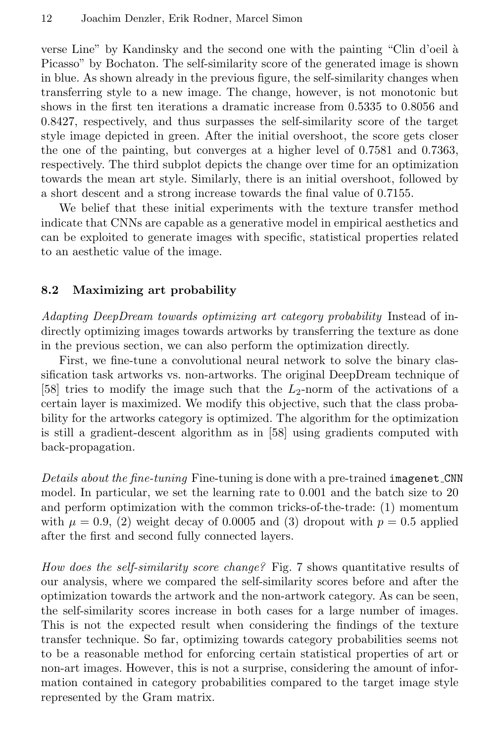verse Line" by Kandinsky and the second one with the painting "Clin d'oeil à Picasso" by Bochaton. The self-similarity score of the generated image is shown in blue. As shown already in the previous figure, the self-similarity changes when transferring style to a new image. The change, however, is not monotonic but shows in the first ten iterations a dramatic increase from 0.5335 to 0.8056 and 0.8427, respectively, and thus surpasses the self-similarity score of the target style image depicted in green. After the initial overshoot, the score gets closer the one of the painting, but converges at a higher level of 0.7581 and 0.7363, respectively. The third subplot depicts the change over time for an optimization towards the mean art style. Similarly, there is an initial overshoot, followed by a short descent and a strong increase towards the final value of 0.7155.

We belief that these initial experiments with the texture transfer method indicate that CNNs are capable as a generative model in empirical aesthetics and can be exploited to generate images with specific, statistical properties related to an aesthetic value of the image.

#### 8.2 Maximizing art probability

Adapting DeepDream towards optimizing art category probability Instead of indirectly optimizing images towards artworks by transferring the texture as done in the previous section, we can also perform the optimization directly.

First, we fine-tune a convolutional neural network to solve the binary classification task artworks vs. non-artworks. The original DeepDream technique of [58] tries to modify the image such that the  $L_2$ -norm of the activations of a certain layer is maximized. We modify this objective, such that the class probability for the artworks category is optimized. The algorithm for the optimization is still a gradient-descent algorithm as in [58] using gradients computed with back-propagation.

Details about the fine-tuning Fine-tuning is done with a pre-trained imagenet CNN model. In particular, we set the learning rate to 0.001 and the batch size to 20 and perform optimization with the common tricks-of-the-trade: (1) momentum with  $\mu = 0.9$ , (2) weight decay of 0.0005 and (3) dropout with  $p = 0.5$  applied after the first and second fully connected layers.

How does the self-similarity score change? Fig. 7 shows quantitative results of our analysis, where we compared the self-similarity scores before and after the optimization towards the artwork and the non-artwork category. As can be seen, the self-similarity scores increase in both cases for a large number of images. This is not the expected result when considering the findings of the texture transfer technique. So far, optimizing towards category probabilities seems not to be a reasonable method for enforcing certain statistical properties of art or non-art images. However, this is not a surprise, considering the amount of information contained in category probabilities compared to the target image style represented by the Gram matrix.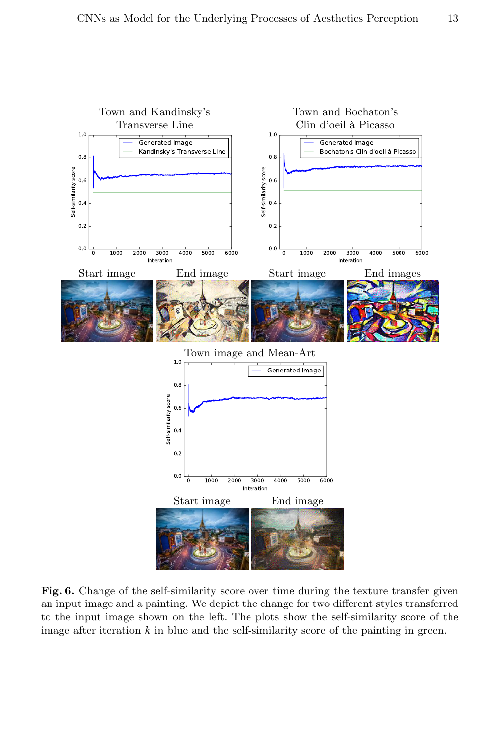

Fig. 6. Change of the self-similarity score over time during the texture transfer given an input image and a painting. We depict the change for two different styles transferred to the input image shown on the left. The plots show the self-similarity score of the image after iteration  $k$  in blue and the self-similarity score of the painting in green.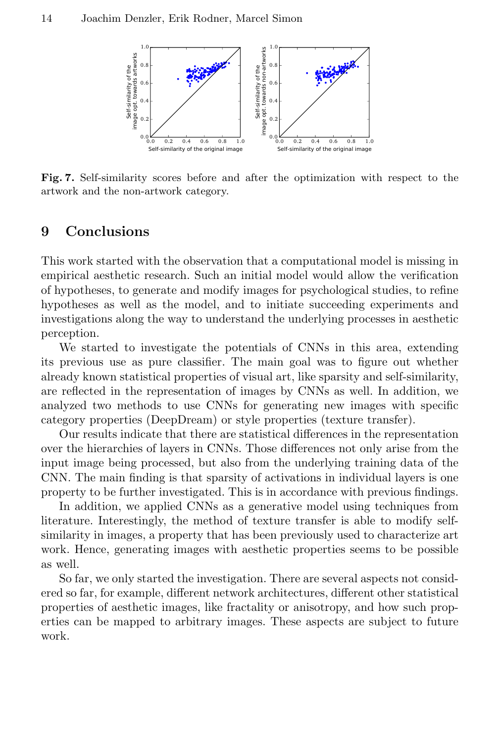

Fig. 7. Self-similarity scores before and after the optimization with respect to the artwork and the non-artwork category.

#### 9 Conclusions

This work started with the observation that a computational model is missing in empirical aesthetic research. Such an initial model would allow the verification of hypotheses, to generate and modify images for psychological studies, to refine hypotheses as well as the model, and to initiate succeeding experiments and investigations along the way to understand the underlying processes in aesthetic perception.

We started to investigate the potentials of CNNs in this area, extending its previous use as pure classifier. The main goal was to figure out whether already known statistical properties of visual art, like sparsity and self-similarity, are reflected in the representation of images by CNNs as well. In addition, we analyzed two methods to use CNNs for generating new images with specific category properties (DeepDream) or style properties (texture transfer).

Our results indicate that there are statistical differences in the representation over the hierarchies of layers in CNNs. Those differences not only arise from the input image being processed, but also from the underlying training data of the CNN. The main finding is that sparsity of activations in individual layers is one property to be further investigated. This is in accordance with previous findings.

In addition, we applied CNNs as a generative model using techniques from literature. Interestingly, the method of texture transfer is able to modify selfsimilarity in images, a property that has been previously used to characterize art work. Hence, generating images with aesthetic properties seems to be possible as well.

So far, we only started the investigation. There are several aspects not considered so far, for example, different network architectures, different other statistical properties of aesthetic images, like fractality or anisotropy, and how such properties can be mapped to arbitrary images. These aspects are subject to future work.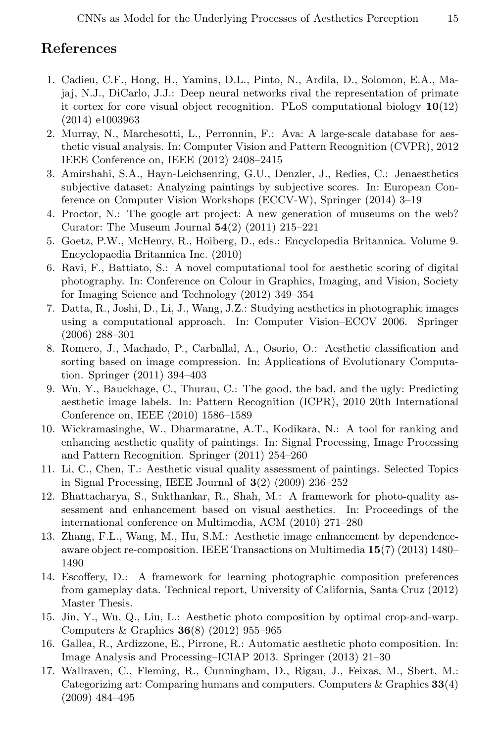### References

- 1. Cadieu, C.F., Hong, H., Yamins, D.L., Pinto, N., Ardila, D., Solomon, E.A., Majaj, N.J., DiCarlo, J.J.: Deep neural networks rival the representation of primate it cortex for core visual object recognition. PLoS computational biology  $10(12)$ (2014) e1003963
- 2. Murray, N., Marchesotti, L., Perronnin, F.: Ava: A large-scale database for aesthetic visual analysis. In: Computer Vision and Pattern Recognition (CVPR), 2012 IEEE Conference on, IEEE (2012) 2408–2415
- 3. Amirshahi, S.A., Hayn-Leichsenring, G.U., Denzler, J., Redies, C.: Jenaesthetics subjective dataset: Analyzing paintings by subjective scores. In: European Conference on Computer Vision Workshops (ECCV-W), Springer (2014) 3–19
- 4. Proctor, N.: The google art project: A new generation of museums on the web? Curator: The Museum Journal 54(2) (2011) 215–221
- 5. Goetz, P.W., McHenry, R., Hoiberg, D., eds.: Encyclopedia Britannica. Volume 9. Encyclopaedia Britannica Inc. (2010)
- 6. Ravi, F., Battiato, S.: A novel computational tool for aesthetic scoring of digital photography. In: Conference on Colour in Graphics, Imaging, and Vision, Society for Imaging Science and Technology (2012) 349–354
- 7. Datta, R., Joshi, D., Li, J., Wang, J.Z.: Studying aesthetics in photographic images using a computational approach. In: Computer Vision–ECCV 2006. Springer (2006) 288–301
- 8. Romero, J., Machado, P., Carballal, A., Osorio, O.: Aesthetic classification and sorting based on image compression. In: Applications of Evolutionary Computation. Springer (2011) 394–403
- 9. Wu, Y., Bauckhage, C., Thurau, C.: The good, the bad, and the ugly: Predicting aesthetic image labels. In: Pattern Recognition (ICPR), 2010 20th International Conference on, IEEE (2010) 1586–1589
- 10. Wickramasinghe, W., Dharmaratne, A.T., Kodikara, N.: A tool for ranking and enhancing aesthetic quality of paintings. In: Signal Processing, Image Processing and Pattern Recognition. Springer (2011) 254–260
- 11. Li, C., Chen, T.: Aesthetic visual quality assessment of paintings. Selected Topics in Signal Processing, IEEE Journal of  $3(2)$  (2009) 236–252
- 12. Bhattacharya, S., Sukthankar, R., Shah, M.: A framework for photo-quality assessment and enhancement based on visual aesthetics. In: Proceedings of the international conference on Multimedia, ACM (2010) 271–280
- 13. Zhang, F.L., Wang, M., Hu, S.M.: Aesthetic image enhancement by dependenceaware object re-composition. IEEE Transactions on Multimedia 15(7) (2013) 1480– 1490
- 14. Escoffery, D.: A framework for learning photographic composition preferences from gameplay data. Technical report, University of California, Santa Cruz (2012) Master Thesis.
- 15. Jin, Y., Wu, Q., Liu, L.: Aesthetic photo composition by optimal crop-and-warp. Computers & Graphics  $36(8)$  (2012) 955–965
- 16. Gallea, R., Ardizzone, E., Pirrone, R.: Automatic aesthetic photo composition. In: Image Analysis and Processing–ICIAP 2013. Springer (2013) 21–30
- 17. Wallraven, C., Fleming, R., Cunningham, D., Rigau, J., Feixas, M., Sbert, M.: Categorizing art: Comparing humans and computers. Computers  $\&$  Graphics  $33(4)$ (2009) 484–495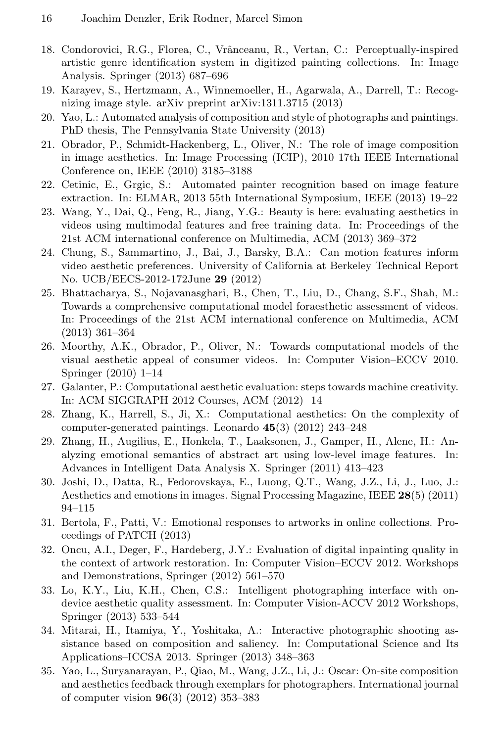- 18. Condorovici, R.G., Florea, C., Vrˆanceanu, R., Vertan, C.: Perceptually-inspired artistic genre identification system in digitized painting collections. In: Image Analysis. Springer (2013) 687–696
- 19. Karayev, S., Hertzmann, A., Winnemoeller, H., Agarwala, A., Darrell, T.: Recognizing image style. arXiv preprint arXiv:1311.3715 (2013)
- 20. Yao, L.: Automated analysis of composition and style of photographs and paintings. PhD thesis, The Pennsylvania State University (2013)
- 21. Obrador, P., Schmidt-Hackenberg, L., Oliver, N.: The role of image composition in image aesthetics. In: Image Processing (ICIP), 2010 17th IEEE International Conference on, IEEE (2010) 3185–3188
- 22. Cetinic, E., Grgic, S.: Automated painter recognition based on image feature extraction. In: ELMAR, 2013 55th International Symposium, IEEE (2013) 19–22
- 23. Wang, Y., Dai, Q., Feng, R., Jiang, Y.G.: Beauty is here: evaluating aesthetics in videos using multimodal features and free training data. In: Proceedings of the 21st ACM international conference on Multimedia, ACM (2013) 369–372
- 24. Chung, S., Sammartino, J., Bai, J., Barsky, B.A.: Can motion features inform video aesthetic preferences. University of California at Berkeley Technical Report No. UCB/EECS-2012-172June 29 (2012)
- 25. Bhattacharya, S., Nojavanasghari, B., Chen, T., Liu, D., Chang, S.F., Shah, M.: Towards a comprehensive computational model foraesthetic assessment of videos. In: Proceedings of the 21st ACM international conference on Multimedia, ACM (2013) 361–364
- 26. Moorthy, A.K., Obrador, P., Oliver, N.: Towards computational models of the visual aesthetic appeal of consumer videos. In: Computer Vision–ECCV 2010. Springer (2010) 1–14
- 27. Galanter, P.: Computational aesthetic evaluation: steps towards machine creativity. In: ACM SIGGRAPH 2012 Courses, ACM (2012) 14
- 28. Zhang, K., Harrell, S., Ji, X.: Computational aesthetics: On the complexity of computer-generated paintings. Leonardo 45(3) (2012) 243–248
- 29. Zhang, H., Augilius, E., Honkela, T., Laaksonen, J., Gamper, H., Alene, H.: Analyzing emotional semantics of abstract art using low-level image features. In: Advances in Intelligent Data Analysis X. Springer (2011) 413–423
- 30. Joshi, D., Datta, R., Fedorovskaya, E., Luong, Q.T., Wang, J.Z., Li, J., Luo, J.: Aesthetics and emotions in images. Signal Processing Magazine, IEEE 28(5) (2011) 94–115
- 31. Bertola, F., Patti, V.: Emotional responses to artworks in online collections. Proceedings of PATCH (2013)
- 32. Oncu, A.I., Deger, F., Hardeberg, J.Y.: Evaluation of digital inpainting quality in the context of artwork restoration. In: Computer Vision–ECCV 2012. Workshops and Demonstrations, Springer (2012) 561–570
- 33. Lo, K.Y., Liu, K.H., Chen, C.S.: Intelligent photographing interface with ondevice aesthetic quality assessment. In: Computer Vision-ACCV 2012 Workshops, Springer (2013) 533–544
- 34. Mitarai, H., Itamiya, Y., Yoshitaka, A.: Interactive photographic shooting assistance based on composition and saliency. In: Computational Science and Its Applications–ICCSA 2013. Springer (2013) 348–363
- 35. Yao, L., Suryanarayan, P., Qiao, M., Wang, J.Z., Li, J.: Oscar: On-site composition and aesthetics feedback through exemplars for photographers. International journal of computer vision 96(3) (2012) 353–383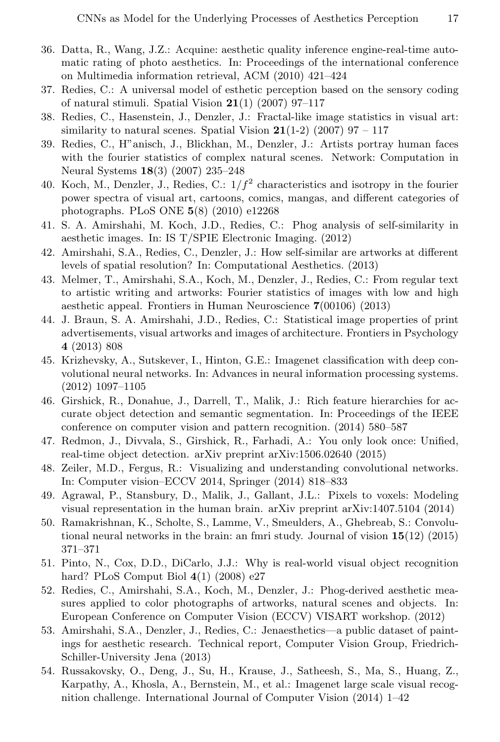- 36. Datta, R., Wang, J.Z.: Acquine: aesthetic quality inference engine-real-time automatic rating of photo aesthetics. In: Proceedings of the international conference on Multimedia information retrieval, ACM (2010) 421–424
- 37. Redies, C.: A universal model of esthetic perception based on the sensory coding of natural stimuli. Spatial Vision  $21(1)$  (2007) 97–117
- 38. Redies, C., Hasenstein, J., Denzler, J.: Fractal-like image statistics in visual art: similarity to natural scenes. Spatial Vision  $21(1-2)$  (2007) 97 – 117
- 39. Redies, C., H"anisch, J., Blickhan, M., Denzler, J.: Artists portray human faces with the fourier statistics of complex natural scenes. Network: Computation in Neural Systems 18(3) (2007) 235–248
- 40. Koch, M., Denzler, J., Redies, C.:  $1/f<sup>2</sup>$  characteristics and isotropy in the fourier power spectra of visual art, cartoons, comics, mangas, and different categories of photographs. PLoS ONE 5(8) (2010) e12268
- 41. S. A. Amirshahi, M. Koch, J.D., Redies, C.: Phog analysis of self-similarity in aesthetic images. In: IS T/SPIE Electronic Imaging. (2012)
- 42. Amirshahi, S.A., Redies, C., Denzler, J.: How self-similar are artworks at different levels of spatial resolution? In: Computational Aesthetics. (2013)
- 43. Melmer, T., Amirshahi, S.A., Koch, M., Denzler, J., Redies, C.: From regular text to artistic writing and artworks: Fourier statistics of images with low and high aesthetic appeal. Frontiers in Human Neuroscience 7(00106) (2013)
- 44. J. Braun, S. A. Amirshahi, J.D., Redies, C.: Statistical image properties of print advertisements, visual artworks and images of architecture. Frontiers in Psychology 4 (2013) 808
- 45. Krizhevsky, A., Sutskever, I., Hinton, G.E.: Imagenet classification with deep convolutional neural networks. In: Advances in neural information processing systems. (2012) 1097–1105
- 46. Girshick, R., Donahue, J., Darrell, T., Malik, J.: Rich feature hierarchies for accurate object detection and semantic segmentation. In: Proceedings of the IEEE conference on computer vision and pattern recognition. (2014) 580–587
- 47. Redmon, J., Divvala, S., Girshick, R., Farhadi, A.: You only look once: Unified, real-time object detection. arXiv preprint arXiv:1506.02640 (2015)
- 48. Zeiler, M.D., Fergus, R.: Visualizing and understanding convolutional networks. In: Computer vision–ECCV 2014, Springer (2014) 818–833
- 49. Agrawal, P., Stansbury, D., Malik, J., Gallant, J.L.: Pixels to voxels: Modeling visual representation in the human brain. arXiv preprint arXiv:1407.5104 (2014)
- 50. Ramakrishnan, K., Scholte, S., Lamme, V., Smeulders, A., Ghebreab, S.: Convolutional neural networks in the brain: an fmri study. Journal of vision 15(12) (2015) 371–371
- 51. Pinto, N., Cox, D.D., DiCarlo, J.J.: Why is real-world visual object recognition hard? PLoS Comput Biol 4(1) (2008) e27
- 52. Redies, C., Amirshahi, S.A., Koch, M., Denzler, J.: Phog-derived aesthetic measures applied to color photographs of artworks, natural scenes and objects. In: European Conference on Computer Vision (ECCV) VISART workshop. (2012)
- 53. Amirshahi, S.A., Denzler, J., Redies, C.: Jenaesthetics—a public dataset of paintings for aesthetic research. Technical report, Computer Vision Group, Friedrich-Schiller-University Jena (2013)
- 54. Russakovsky, O., Deng, J., Su, H., Krause, J., Satheesh, S., Ma, S., Huang, Z., Karpathy, A., Khosla, A., Bernstein, M., et al.: Imagenet large scale visual recognition challenge. International Journal of Computer Vision (2014) 1–42